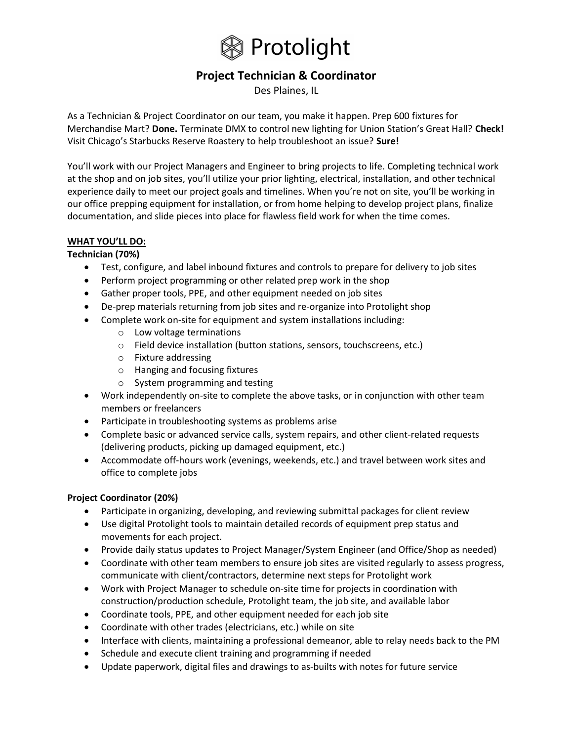

# Project Technician & Coordinator

Des Plaines, IL

As a Technician & Project Coordinator on our team, you make it happen. Prep 600 fixtures for Merchandise Mart? Done. Terminate DMX to control new lighting for Union Station's Great Hall? Check! Visit Chicago's Starbucks Reserve Roastery to help troubleshoot an issue? Sure!

You'll work with our Project Managers and Engineer to bring projects to life. Completing technical work at the shop and on job sites, you'll utilize your prior lighting, electrical, installation, and other technical experience daily to meet our project goals and timelines. When you're not on site, you'll be working in our office prepping equipment for installation, or from home helping to develop project plans, finalize documentation, and slide pieces into place for flawless field work for when the time comes.

## WHAT YOU'LL DO:

### Technician (70%)

- Test, configure, and label inbound fixtures and controls to prepare for delivery to job sites
- Perform project programming or other related prep work in the shop
- Gather proper tools, PPE, and other equipment needed on job sites
- De-prep materials returning from job sites and re-organize into Protolight shop
- Complete work on-site for equipment and system installations including:
	- o Low voltage terminations
	- o Field device installation (button stations, sensors, touchscreens, etc.)
	- o Fixture addressing
	- o Hanging and focusing fixtures
	- o System programming and testing
- Work independently on-site to complete the above tasks, or in conjunction with other team members or freelancers
- Participate in troubleshooting systems as problems arise
- Complete basic or advanced service calls, system repairs, and other client-related requests (delivering products, picking up damaged equipment, etc.)
- Accommodate off-hours work (evenings, weekends, etc.) and travel between work sites and office to complete jobs

#### Project Coordinator (20%)

- Participate in organizing, developing, and reviewing submittal packages for client review
- Use digital Protolight tools to maintain detailed records of equipment prep status and movements for each project.
- Provide daily status updates to Project Manager/System Engineer (and Office/Shop as needed)
- Coordinate with other team members to ensure job sites are visited regularly to assess progress, communicate with client/contractors, determine next steps for Protolight work
- Work with Project Manager to schedule on-site time for projects in coordination with construction/production schedule, Protolight team, the job site, and available labor
- Coordinate tools, PPE, and other equipment needed for each job site
- Coordinate with other trades (electricians, etc.) while on site
- Interface with clients, maintaining a professional demeanor, able to relay needs back to the PM
- Schedule and execute client training and programming if needed
- Update paperwork, digital files and drawings to as-builts with notes for future service